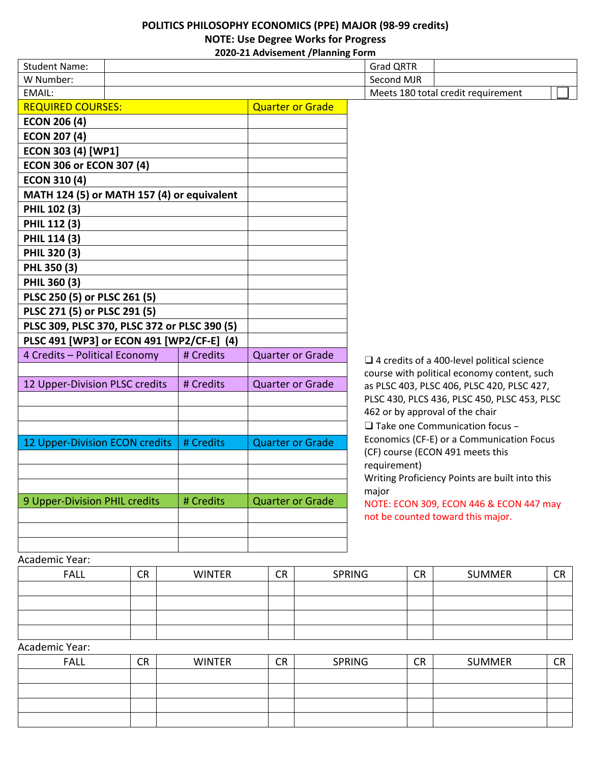## **POLITICS PHILOSOPHY ECONOMICS (PPE) MAJOR (98-99 credits) NOTE: Use Degree Works for Progress 2020-21 Advisement /Planning Form**

|                                              |           | $\sigma$ 21 may be included to the main in $\sigma$ |                                                         |
|----------------------------------------------|-----------|-----------------------------------------------------|---------------------------------------------------------|
| <b>Student Name:</b>                         |           |                                                     | <b>Grad QRTR</b>                                        |
| W Number:                                    |           |                                                     | Second MJR                                              |
| EMAIL:                                       |           |                                                     | Meets 180 total credit requirement                      |
| <b>REQUIRED COURSES:</b>                     |           | <b>Quarter or Grade</b>                             |                                                         |
| <b>ECON 206 (4)</b>                          |           |                                                     |                                                         |
| <b>ECON 207 (4)</b>                          |           |                                                     |                                                         |
| ECON 303 (4) [WP1]                           |           |                                                     |                                                         |
| <b>ECON 306 or ECON 307 (4)</b>              |           |                                                     |                                                         |
| <b>ECON 310 (4)</b>                          |           |                                                     |                                                         |
| MATH 124 (5) or MATH 157 (4) or equivalent   |           |                                                     |                                                         |
| PHIL 102 (3)                                 |           |                                                     |                                                         |
| PHIL 112 (3)                                 |           |                                                     |                                                         |
| PHIL 114 (3)                                 |           |                                                     |                                                         |
| PHIL 320 (3)                                 |           |                                                     |                                                         |
| PHL 350 (3)                                  |           |                                                     |                                                         |
| PHIL 360 (3)                                 |           |                                                     |                                                         |
| PLSC 250 (5) or PLSC 261 (5)                 |           |                                                     |                                                         |
| PLSC 271 (5) or PLSC 291 (5)                 |           |                                                     |                                                         |
| PLSC 309, PLSC 370, PLSC 372 or PLSC 390 (5) |           |                                                     |                                                         |
| PLSC 491 [WP3] or ECON 491 [WP2/CF-E] (4)    |           |                                                     |                                                         |
| 4 Credits - Political Economy                | # Credits | <b>Quarter or Grade</b>                             | $\Box$ 4 credits of a 400-level political science       |
|                                              |           |                                                     | course with political economy content, such             |
| 12 Upper-Division PLSC credits               | # Credits | <b>Quarter or Grade</b>                             | as PLSC 403, PLSC 406, PLSC 420, PLSC 427,              |
|                                              |           |                                                     | PLSC 430, PLCS 436, PLSC 450, PLSC 453, PLSC            |
|                                              |           |                                                     | 462 or by approval of the chair                         |
|                                              |           |                                                     | $\Box$ Take one Communication focus -                   |
| 12 Upper-Division ECON credits               | # Credits | <b>Quarter or Grade</b>                             | Economics (CF-E) or a Communication Focus               |
|                                              |           |                                                     | (CF) course (ECON 491 meets this                        |
|                                              |           |                                                     | requirement)                                            |
|                                              |           |                                                     | Writing Proficiency Points are built into this<br>major |
| 9 Upper-Division PHIL credits                | # Credits | <b>Quarter or Grade</b>                             | NOTE: ECON 309, ECON 446 & ECON 447 may                 |
|                                              |           |                                                     | not be counted toward this major.                       |
|                                              |           |                                                     |                                                         |
|                                              |           |                                                     |                                                         |
| Academic Year:                               |           |                                                     |                                                         |

| <b>FALL</b> | <b>CR</b> | <b>WINTER</b> | <b>CR</b> | <b>SPRING</b> | <b>CR</b> | <b>SUMMER</b> | <b>CR</b> |
|-------------|-----------|---------------|-----------|---------------|-----------|---------------|-----------|
|             |           |               |           |               |           |               |           |
|             |           |               |           |               |           |               |           |
|             |           |               |           |               |           |               |           |
|             |           |               |           |               |           |               |           |

Academic Year:

| <b>FALL</b> | <b>CR</b> | <b>WINTER</b> | <b>CR</b> | <b>SPRING</b> | <b>CR</b> | <b>SUMMER</b> | $\cap$<br>ີ |
|-------------|-----------|---------------|-----------|---------------|-----------|---------------|-------------|
|             |           |               |           |               |           |               |             |
|             |           |               |           |               |           |               |             |
|             |           |               |           |               |           |               |             |
|             |           |               |           |               |           |               |             |